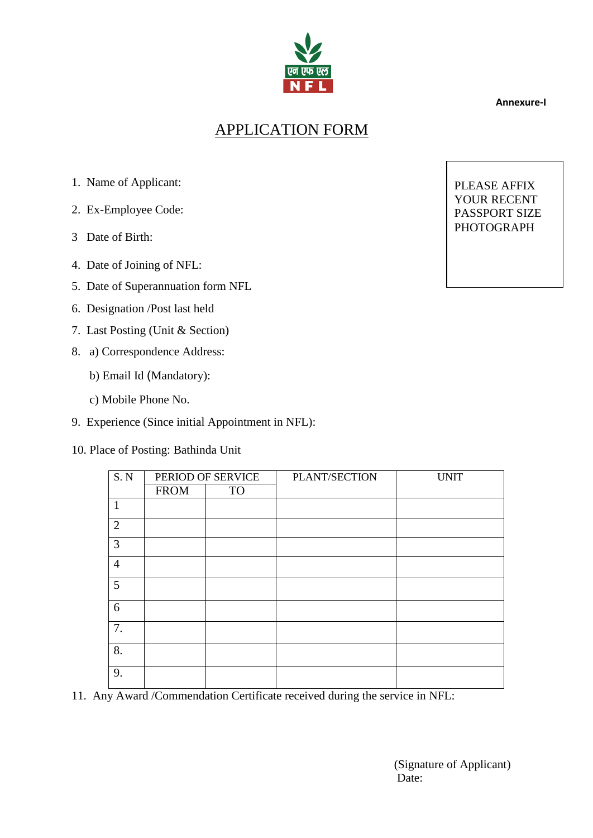

 **Annexure-I**

## APPLICATION FORM

- 1. Name of Applicant:
- 2. Ex-Employee Code:
- 3 Date of Birth:
- 4. Date of Joining of NFL:
- 5. Date of Superannuation form NFL
- 6. Designation /Post last held
- 7. Last Posting (Unit & Section)
- 8. a) Correspondence Address:
	- b) Email Id (Mandatory):
	- c) Mobile Phone No.
- 9. Experience (Since initial Appointment in NFL):
- 10. Place of Posting: Bathinda Unit

| S.N            | PERIOD OF SERVICE |           | PLANT/SECTION | <b>UNIT</b> |
|----------------|-------------------|-----------|---------------|-------------|
|                | <b>FROM</b>       | <b>TO</b> |               |             |
| 1              |                   |           |               |             |
| $\overline{2}$ |                   |           |               |             |
| 3              |                   |           |               |             |
| $\overline{4}$ |                   |           |               |             |
| 5              |                   |           |               |             |
| 6              |                   |           |               |             |
| 7.             |                   |           |               |             |
| 8.             |                   |           |               |             |
| 9.             |                   |           |               |             |

11. Any Award /Commendation Certificate received during the service in NFL:

(Signature of Applicant) Date:

PLEASE AFFIX YOUR RECENT PASSPORT SIZE PHOTOGRAPH